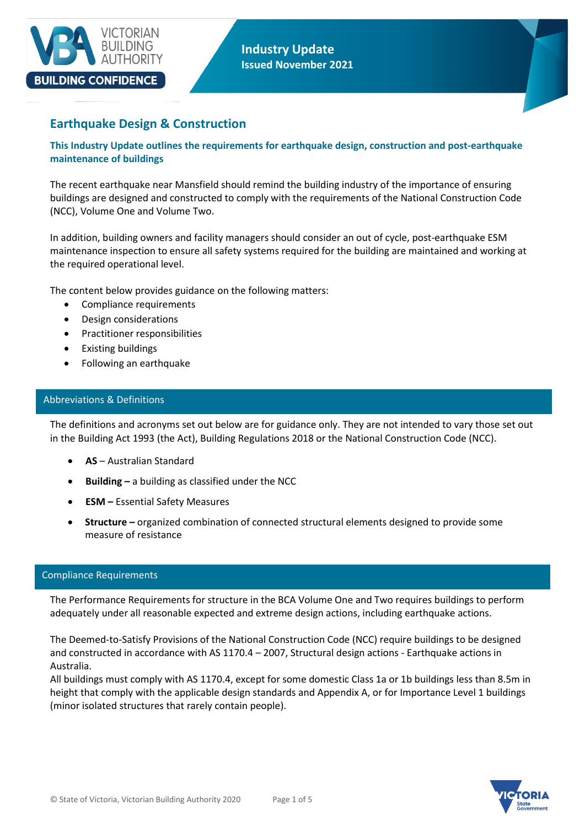

# **Earthquake Design & Construction**

**This Industry Update outlines the requirements for earthquake design, construction and post-earthquake maintenance of buildings**

The recent earthquake near Mansfield should remind the building industry of the importance of ensuring buildings are designed and constructed to comply with the requirements of the National Construction Code (NCC), Volume One and Volume Two.

In addition, building owners and facility managers should consider an out of cycle, post-earthquake ESM maintenance inspection to ensure all safety systems required for the building are maintained and working at the required operational level.

The content below provides guidance on the following matters:

- Compliance requirements
- Design considerations
- Practitioner responsibilities
- Existing buildings
- Following an earthquake

#### Abbreviations & Definitions

The definitions and acronyms set out below are for guidance only. They are not intended to vary those set out in the Building Act 1993 (the Act), Building Regulations 2018 or the National Construction Code (NCC).

- **AS** Australian Standard
- **Building –** a building as classified under the NCC
- **ESM –** Essential Safety Measures
- **Structure –** organized combination of connected structural elements designed to provide some measure of resistance

## Compliance Requirements

The Performance Requirements for structure in the BCA Volume One and Two requires buildings to perform adequately under all reasonable expected and extreme design actions, including earthquake actions.

The Deemed-to-Satisfy Provisions of the National Construction Code (NCC) require buildings to be designed and constructed in accordance with AS 1170.4 – 2007, Structural design actions - Earthquake actions in Australia.

All buildings must comply with AS 1170.4, except for some domestic Class 1a or 1b buildings less than 8.5m in height that comply with the applicable design standards and Appendix A, or for Importance Level 1 buildings (minor isolated structures that rarely contain people).

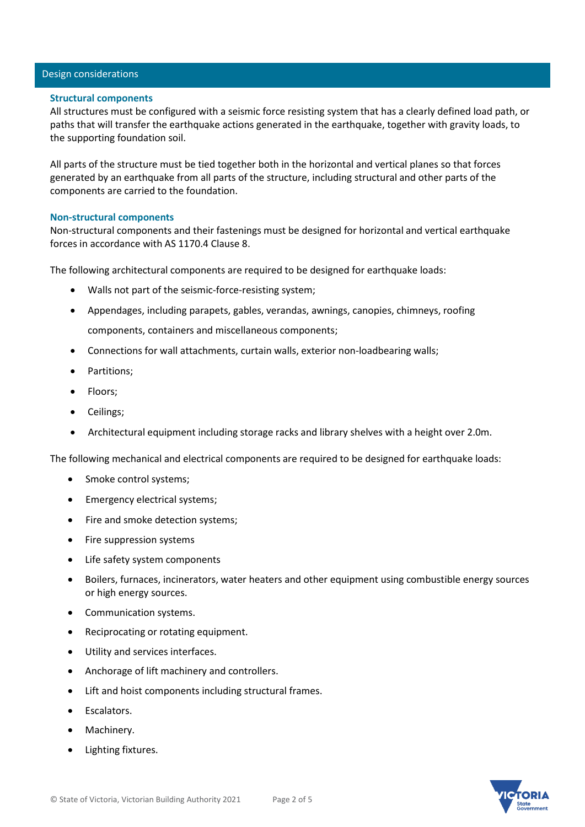# Design considerations

#### **Structural components**

All structures must be configured with a seismic force resisting system that has a clearly defined load path, or paths that will transfer the earthquake actions generated in the earthquake, together with gravity loads, to the supporting foundation soil.

All parts of the structure must be tied together both in the horizontal and vertical planes so that forces generated by an earthquake from all parts of the structure, including structural and other parts of the components are carried to the foundation.

#### **Non-structural components**

Non-structural components and their fastenings must be designed for horizontal and vertical earthquake forces in accordance with AS 1170.4 Clause 8.

The following architectural components are required to be designed for earthquake loads:

- Walls not part of the seismic-force-resisting system;
- Appendages, including parapets, gables, verandas, awnings, canopies, chimneys, roofing components, containers and miscellaneous components;
- Connections for wall attachments, curtain walls, exterior non-loadbearing walls;
- Partitions;
- Floors;
- Ceilings;
- Architectural equipment including storage racks and library shelves with a height over 2.0m.

The following mechanical and electrical components are required to be designed for earthquake loads:

- Smoke control systems;
- Emergency electrical systems;
- Fire and smoke detection systems;
- Fire suppression systems
- Life safety system components
- Boilers, furnaces, incinerators, water heaters and other equipment using combustible energy sources or high energy sources.
- Communication systems.
- Reciprocating or rotating equipment.
- Utility and services interfaces.
- Anchorage of lift machinery and controllers.
- Lift and hoist components including structural frames.
- Escalators.
- Machinery.
- Lighting fixtures.

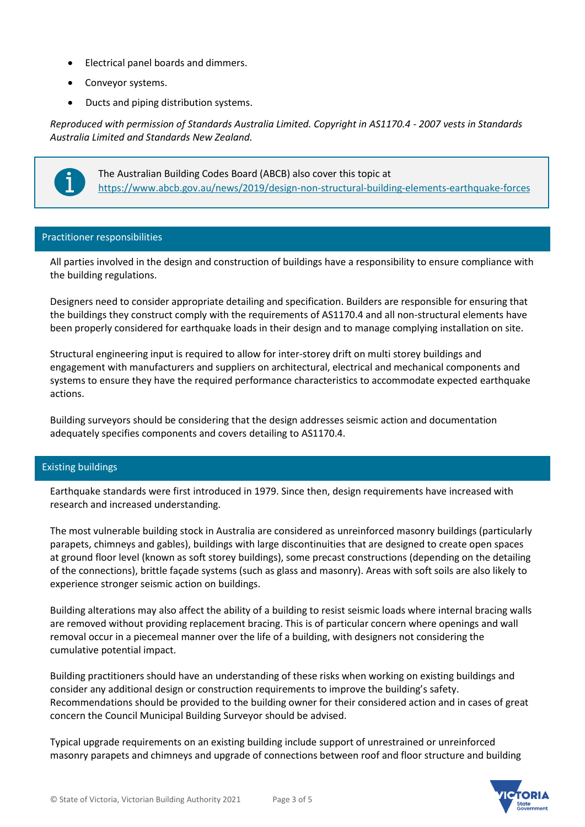- Electrical panel boards and dimmers.
- Conveyor systems.
- Ducts and piping distribution systems.

*Reproduced with permission of Standards Australia Limited. Copyright in AS1170.4 - 2007 vests in Standards Australia Limited and Standards New Zealand.*



The Australian Building Codes Board (ABCB) also cover this topic at <https://www.abcb.gov.au/news/2019/design-non-structural-building-elements-earthquake-forces>

# Practitioner responsibilities

All parties involved in the design and construction of buildings have a responsibility to ensure compliance with the building regulations.

Designers need to consider appropriate detailing and specification. Builders are responsible for ensuring that the buildings they construct comply with the requirements of AS1170.4 and all non-structural elements have been properly considered for earthquake loads in their design and to manage complying installation on site.

Structural engineering input is required to allow for inter-storey drift on multi storey buildings and engagement with manufacturers and suppliers on architectural, electrical and mechanical components and systems to ensure they have the required performance characteristics to accommodate expected earthquake actions.

Building surveyors should be considering that the design addresses seismic action and documentation adequately specifies components and covers detailing to AS1170.4.

# Existing buildings

Earthquake standards were first introduced in 1979. Since then, design requirements have increased with research and increased understanding.

The most vulnerable building stock in Australia are considered as unreinforced masonry buildings (particularly parapets, chimneys and gables), buildings with large discontinuities that are designed to create open spaces at ground floor level (known as soft storey buildings), some precast constructions (depending on the detailing of the connections), brittle façade systems (such as glass and masonry). Areas with soft soils are also likely to experience stronger seismic action on buildings.

Building alterations may also affect the ability of a building to resist seismic loads where internal bracing walls are removed without providing replacement bracing. This is of particular concern where openings and wall removal occur in a piecemeal manner over the life of a building, with designers not considering the cumulative potential impact.

Building practitioners should have an understanding of these risks when working on existing buildings and consider any additional design or construction requirements to improve the building's safety. Recommendations should be provided to the building owner for their considered action and in cases of great concern the Council Municipal Building Surveyor should be advised.

Typical upgrade requirements on an existing building include support of unrestrained or unreinforced masonry parapets and chimneys and upgrade of connections between roof and floor structure and building

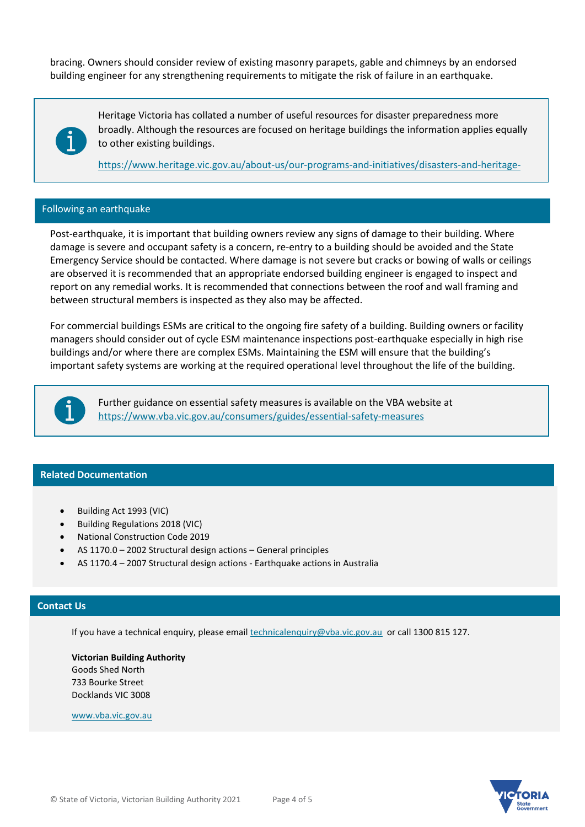bracing. Owners should consider review of existing masonry parapets, gable and chimneys by an endorsed building engineer for any strengthening requirements to mitigate the risk of failure in an earthquake.



Heritage Victoria has collated a number of useful resources for disaster preparedness more broadly. Although the resources are focused on heritage buildings the information applies equally to other existing buildings.

[https://www.heritage.vic.gov.au/about-us/our-programs-and-initiatives/disasters-and-heritage-](https://www.heritage.vic.gov.au/about-us/our-programs-and-initiatives/disasters-and-heritage-getting-prepared-and-recovery)

#### Following an earthquake

[getting-prepared-and-recovery](https://www.heritage.vic.gov.au/about-us/our-programs-and-initiatives/disasters-and-heritage-getting-prepared-and-recovery)

Post-earthquake, it is important that building owners review any signs of damage to their building. Where damage is severe and occupant safety is a concern, re-entry to a building should be avoided and the State Emergency Service should be contacted. Where damage is not severe but cracks or bowing of walls or ceilings are observed it is recommended that an appropriate endorsed building engineer is engaged to inspect and report on any remedial works. It is recommended that connections between the roof and wall framing and between structural members is inspected as they also may be affected.

For commercial buildings ESMs are critical to the ongoing fire safety of a building. Building owners or facility managers should consider out of cycle ESM maintenance inspections post-earthquake especially in high rise buildings and/or where there are complex ESMs. Maintaining the ESM will ensure that the building's important safety systems are working at the required operational level throughout the life of the building.



Further guidance on essential safety measures is available on the VBA website at <https://www.vba.vic.gov.au/consumers/guides/essential-safety-measures>

### **Related Documentation**

- Building Act 1993 (VIC)
- Building Regulations 2018 (VIC)
- National Construction Code 2019
- AS 1170.0 2002 Structural design actions General principles
- AS 1170.4 2007 Structural design actions Earthquake actions in Australia

#### **Contact Us**

If you have a technical enquiry, please email [technicalenquiry@vba.vic.gov.au](mailto:technicalenquiry@vba.vic.gov.au) or call 1300 815 127.

**Victorian Building Authority** Goods Shed North 733 Bourke Street Docklands VIC 3008

[www.vba.vic.gov.au](http://www.vba.vic.gov.au/)